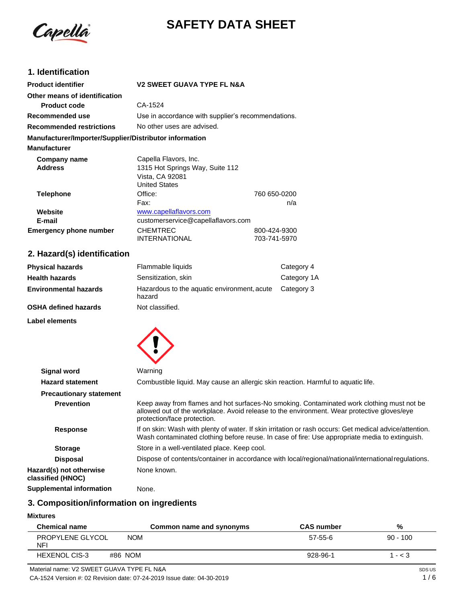

# **SAFETY DATA SHEET**

# **1. Identification**

| <b>Product identifier</b>                              | <b>V2 SWEET GUAVA TYPE FL N&amp;A</b> |                                                    |  |
|--------------------------------------------------------|---------------------------------------|----------------------------------------------------|--|
| Other means of identification                          |                                       |                                                    |  |
| <b>Product code</b>                                    | CA-1524                               |                                                    |  |
| Recommended use                                        |                                       | Use in accordance with supplier's recommendations. |  |
| <b>Recommended restrictions</b>                        | No other uses are advised.            |                                                    |  |
| Manufacturer/Importer/Supplier/Distributor information |                                       |                                                    |  |
| <b>Manufacturer</b>                                    |                                       |                                                    |  |
| Company name                                           | Capella Flavors, Inc.                 |                                                    |  |
| <b>Address</b>                                         | 1315 Hot Springs Way, Suite 112       |                                                    |  |
|                                                        | Vista, CA 92081                       |                                                    |  |
|                                                        | <b>United States</b>                  |                                                    |  |
| <b>Telephone</b>                                       | Office:                               | 760 650-0200                                       |  |
|                                                        | Fax:                                  | n/a                                                |  |
| Website                                                | www.capellaflavors.com                |                                                    |  |
| E-mail                                                 | customerservice@capellaflavors.com    |                                                    |  |
| <b>Emergency phone number</b>                          | <b>CHEMTREC</b>                       | 800-424-9300                                       |  |
|                                                        | <b>INTERNATIONAL</b>                  | 703-741-5970                                       |  |

# **2. Hazard(s) identification**

| <b>Physical hazards</b>      | Flammable liquids                                     | Category 4  |
|------------------------------|-------------------------------------------------------|-------------|
| <b>Health hazards</b>        | Sensitization, skin                                   | Category 1A |
| <b>Environmental hazards</b> | Hazardous to the aquatic environment, acute<br>hazard | Category 3  |
| <b>OSHA defined hazards</b>  | Not classified.                                       |             |

**Label elements**



| <b>Signal word</b>                           | Warning                                                                                                                                                                                                                |
|----------------------------------------------|------------------------------------------------------------------------------------------------------------------------------------------------------------------------------------------------------------------------|
| <b>Hazard statement</b>                      | Combustible liquid. May cause an allergic skin reaction. Harmful to aquatic life.                                                                                                                                      |
| <b>Precautionary statement</b>               |                                                                                                                                                                                                                        |
| <b>Prevention</b>                            | Keep away from flames and hot surfaces-No smoking. Contaminated work clothing must not be<br>allowed out of the workplace. Avoid release to the environment. Wear protective gloves/eye<br>protection/face protection. |
| <b>Response</b>                              | If on skin: Wash with plenty of water. If skin irritation or rash occurs: Get medical advice/attention.<br>Wash contaminated clothing before reuse. In case of fire: Use appropriate media to extinguish.              |
| <b>Storage</b>                               | Store in a well-ventilated place. Keep cool.                                                                                                                                                                           |
| <b>Disposal</b>                              | Dispose of contents/container in accordance with local/regional/national/international regulations.                                                                                                                    |
| Hazard(s) not otherwise<br>classified (HNOC) | None known.                                                                                                                                                                                                            |
| Complemental information                     | $\blacksquare$                                                                                                                                                                                                         |

**Supplemental information** None.

# **3. Composition/information on ingredients**

**Mixtures**

| <b>Chemical name</b>                      | Common name and synonyms | <b>CAS number</b> | %          |
|-------------------------------------------|--------------------------|-------------------|------------|
| PROPYLENE GLYCOL<br>NFI                   | <b>NOM</b>               | 57-55-6           | $90 - 100$ |
| <b>HEXENOL CIS-3</b>                      | #86 NOM                  | 928-96-1          | $1 - < 3$  |
| Material name: V2 SWEET GUAVA TYPE FL N&A |                          |                   | SDS US     |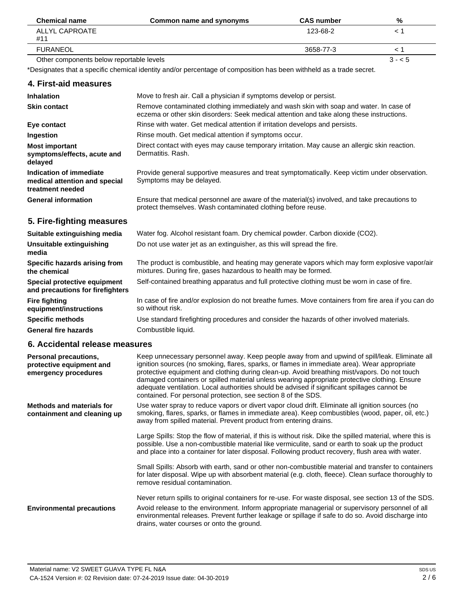| <b>Chemical name</b>                     | Common name and synonyms | <b>CAS number</b> | %       |
|------------------------------------------|--------------------------|-------------------|---------|
| ALLYL CAPROATE<br>#11                    |                          | 123-68-2          |         |
| <b>FURANEOL</b>                          |                          | 3658-77-3         |         |
| Other components below reportable levels |                          |                   | $3 - 5$ |

\*Designates that a specific chemical identity and/or percentage of composition has been withheld as a trade secret.

### **4. First-aid measures**

| <b>Inhalation</b>                                                            | Move to fresh air. Call a physician if symptoms develop or persist.                                                                                                                 |
|------------------------------------------------------------------------------|-------------------------------------------------------------------------------------------------------------------------------------------------------------------------------------|
| <b>Skin contact</b>                                                          | Remove contaminated clothing immediately and wash skin with soap and water. In case of<br>eczema or other skin disorders: Seek medical attention and take along these instructions. |
| Eye contact                                                                  | Rinse with water. Get medical attention if irritation develops and persists.                                                                                                        |
| Ingestion                                                                    | Rinse mouth. Get medical attention if symptoms occur.                                                                                                                               |
| <b>Most important</b><br>symptoms/effects, acute and<br>delayed              | Direct contact with eyes may cause temporary irritation. May cause an allergic skin reaction.<br>Dermatitis, Rash.                                                                  |
| Indication of immediate<br>medical attention and special<br>treatment needed | Provide general supportive measures and treat symptomatically. Keep victim under observation.<br>Symptoms may be delayed.                                                           |
| <b>General information</b>                                                   | Ensure that medical personnel are aware of the material(s) involved, and take precautions to<br>protect themselves. Wash contaminated clothing before reuse.                        |

# **5. Fire-fighting measures**

| Suitable extinguishing media                                     | Water fog. Alcohol resistant foam. Dry chemical powder. Carbon dioxide (CO2).                                                                                     |
|------------------------------------------------------------------|-------------------------------------------------------------------------------------------------------------------------------------------------------------------|
| Unsuitable extinguishing<br>media                                | Do not use water jet as an extinguisher, as this will spread the fire.                                                                                            |
| Specific hazards arising from<br>the chemical                    | The product is combustible, and heating may generate vapors which may form explosive vapor/air<br>mixtures. During fire, gases hazardous to health may be formed. |
| Special protective equipment<br>and precautions for firefighters | Self-contained breathing apparatus and full protective clothing must be worn in case of fire.                                                                     |
| <b>Fire fighting</b><br>equipment/instructions                   | In case of fire and/or explosion do not breathe fumes. Move containers from fire area if you can do<br>so without risk.                                           |
| <b>Specific methods</b>                                          | Use standard firefighting procedures and consider the hazards of other involved materials.                                                                        |
| <b>General fire hazards</b>                                      | Combustible liquid.                                                                                                                                               |

# **6. Accidental release measures**

| Personal precautions,<br>protective equipment and<br>emergency procedures | Keep unnecessary personnel away. Keep people away from and upwind of spill/leak. Eliminate all<br>ignition sources (no smoking, flares, sparks, or flames in immediate area). Wear appropriate<br>protective equipment and clothing during clean-up. Avoid breathing mist/vapors. Do not touch<br>damaged containers or spilled material unless wearing appropriate protective clothing. Ensure<br>adequate ventilation. Local authorities should be advised if significant spillages cannot be<br>contained. For personal protection, see section 8 of the SDS. |
|---------------------------------------------------------------------------|------------------------------------------------------------------------------------------------------------------------------------------------------------------------------------------------------------------------------------------------------------------------------------------------------------------------------------------------------------------------------------------------------------------------------------------------------------------------------------------------------------------------------------------------------------------|
| <b>Methods and materials for</b><br>containment and cleaning up           | Use water spray to reduce vapors or divert vapor cloud drift. Eliminate all ignition sources (no<br>smoking, flares, sparks, or flames in immediate area). Keep combustibles (wood, paper, oil, etc.)<br>away from spilled material. Prevent product from entering drains.                                                                                                                                                                                                                                                                                       |
|                                                                           | Large Spills: Stop the flow of material, if this is without risk. Dike the spilled material, where this is<br>possible. Use a non-combustible material like vermiculite, sand or earth to soak up the product<br>and place into a container for later disposal. Following product recovery, flush area with water.                                                                                                                                                                                                                                               |
|                                                                           | Small Spills: Absorb with earth, sand or other non-combustible material and transfer to containers<br>for later disposal. Wipe up with absorbent material (e.g. cloth, fleece). Clean surface thoroughly to<br>remove residual contamination.                                                                                                                                                                                                                                                                                                                    |
| <b>Environmental precautions</b>                                          | Never return spills to original containers for re-use. For waste disposal, see section 13 of the SDS.<br>Avoid release to the environment. Inform appropriate managerial or supervisory personnel of all<br>environmental releases. Prevent further leakage or spillage if safe to do so. Avoid discharge into<br>drains, water courses or onto the ground.                                                                                                                                                                                                      |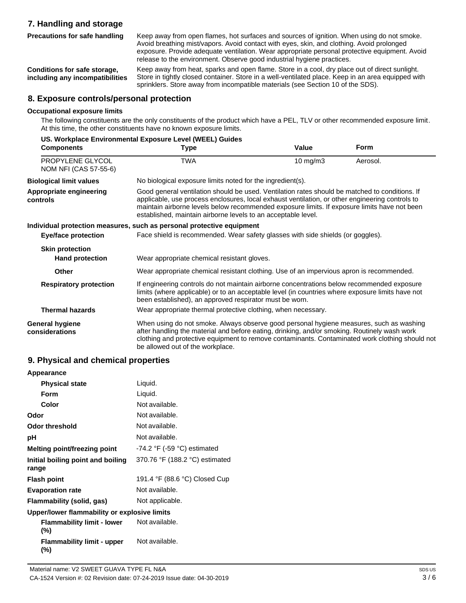# **7. Handling and storage**

**Precautions for safe handling**

Keep away from open flames, hot surfaces and sources of ignition. When using do not smoke. Avoid breathing mist/vapors. Avoid contact with eyes, skin, and clothing. Avoid prolonged exposure. Provide adequate ventilation. Wear appropriate personal protective equipment. Avoid release to the environment. Observe good industrial hygiene practices.

**Conditions for safe storage, including any incompatibilities** Keep away from heat, sparks and open flame. Store in a cool, dry place out of direct sunlight. Store in tightly closed container. Store in a well-ventilated place. Keep in an area equipped with sprinklers. Store away from incompatible materials (see Section 10 of the SDS).

### **8. Exposure controls/personal protection**

#### **Occupational exposure limits**

The following constituents are the only constituents of the product which have a PEL, TLV or other recommended exposure limit. At this time, the other constituents have no known exposure limits.

|                                           | US. Workplace Environmental Exposure Level (WEEL) Guides                                                                                                                                                                                                                                                                                                           |          |             |
|-------------------------------------------|--------------------------------------------------------------------------------------------------------------------------------------------------------------------------------------------------------------------------------------------------------------------------------------------------------------------------------------------------------------------|----------|-------------|
| <b>Components</b>                         | Type                                                                                                                                                                                                                                                                                                                                                               | Value    | <b>Form</b> |
| PROPYLENE GLYCOL<br>NOM NFI (CAS 57-55-6) | <b>TWA</b>                                                                                                                                                                                                                                                                                                                                                         | 10 mg/m3 | Aerosol.    |
| <b>Biological limit values</b>            | No biological exposure limits noted for the ingredient(s).                                                                                                                                                                                                                                                                                                         |          |             |
| Appropriate engineering<br>controls       | Good general ventilation should be used. Ventilation rates should be matched to conditions. If<br>applicable, use process enclosures, local exhaust ventilation, or other engineering controls to<br>maintain airborne levels below recommended exposure limits. If exposure limits have not been<br>established, maintain airborne levels to an acceptable level. |          |             |
|                                           | Individual protection measures, such as personal protective equipment                                                                                                                                                                                                                                                                                              |          |             |
| <b>Eye/face protection</b>                | Face shield is recommended. Wear safety glasses with side shields (or goggles).                                                                                                                                                                                                                                                                                    |          |             |
| <b>Skin protection</b>                    |                                                                                                                                                                                                                                                                                                                                                                    |          |             |
| <b>Hand protection</b>                    | Wear appropriate chemical resistant gloves.                                                                                                                                                                                                                                                                                                                        |          |             |
| <b>Other</b>                              | Wear appropriate chemical resistant clothing. Use of an impervious apron is recommended.                                                                                                                                                                                                                                                                           |          |             |
| <b>Respiratory protection</b>             | If engineering controls do not maintain airborne concentrations below recommended exposure<br>limits (where applicable) or to an acceptable level (in countries where exposure limits have not<br>been established), an approved respirator must be worn.                                                                                                          |          |             |
| <b>Thermal hazards</b>                    | Wear appropriate thermal protective clothing, when necessary.                                                                                                                                                                                                                                                                                                      |          |             |
| <b>General hygiene</b><br>considerations  | When using do not smoke. Always observe good personal hygiene measures, such as washing<br>after handling the material and before eating, drinking, and/or smoking. Routinely wash work<br>clothing and protective equipment to remove contaminants. Contaminated work clothing should not<br>be allowed out of the workplace.                                     |          |             |

### **9. Physical and chemical properties**

| Appearance                                   |                                  |
|----------------------------------------------|----------------------------------|
| <b>Physical state</b>                        | Liquid.                          |
| Form                                         | Liquid.                          |
| Color                                        | Not available.                   |
| Odor                                         | Not available.                   |
| <b>Odor threshold</b>                        | Not available.                   |
| рH                                           | Not available.                   |
| Melting point/freezing point                 | $-74.2$ °F ( $-59$ °C) estimated |
| Initial boiling point and boiling<br>range   | 370.76 °F (188.2 °C) estimated   |
| <b>Flash point</b>                           | 191.4 °F (88.6 °C) Closed Cup    |
| <b>Evaporation rate</b>                      | Not available.                   |
| Flammability (solid, gas)                    | Not applicable.                  |
| Upper/lower flammability or explosive limits |                                  |
| <b>Flammability limit - lower</b><br>(%)     | Not available.                   |
| <b>Flammability limit - upper</b><br>(%)     | Not available.                   |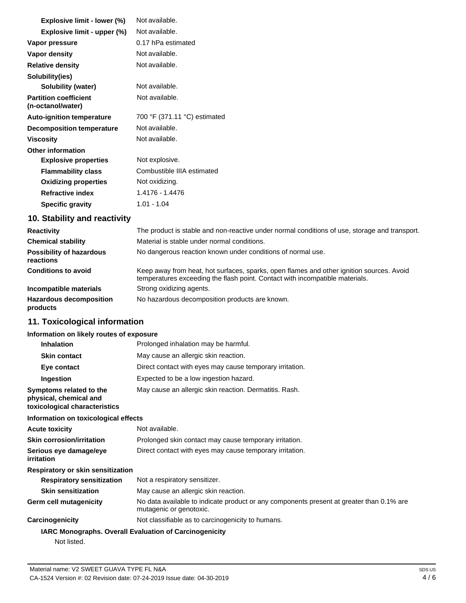| Explosive limit - lower (%)                       | Not available.               |
|---------------------------------------------------|------------------------------|
| Explosive limit - upper (%)                       | Not available.               |
| Vapor pressure                                    | 0.17 hPa estimated           |
| Vapor density                                     | Not available.               |
| <b>Relative density</b>                           | Not available.               |
| Solubility(ies)                                   |                              |
| Solubility (water)                                | Not available.               |
| <b>Partition coefficient</b><br>(n-octanol/water) | Not available.               |
| <b>Auto-ignition temperature</b>                  | 700 °F (371.11 °C) estimated |
| <b>Decomposition temperature</b>                  | Not available.               |
| <b>Viscosity</b>                                  | Not available.               |
| Other information                                 |                              |
| <b>Explosive properties</b>                       | Not explosive.               |
| <b>Flammability class</b>                         | Combustible IIIA estimated   |
| <b>Oxidizing properties</b>                       | Not oxidizing.               |
| <b>Refractive index</b>                           | 1.4176 - 1.4476              |
| <b>Specific gravity</b>                           | $1.01 - 1.04$                |

# **10. Stability and reactivity**

| <b>Reactivity</b>                            | The product is stable and non-reactive under normal conditions of use, storage and transport.                                                                            |
|----------------------------------------------|--------------------------------------------------------------------------------------------------------------------------------------------------------------------------|
| <b>Chemical stability</b>                    | Material is stable under normal conditions.                                                                                                                              |
| <b>Possibility of hazardous</b><br>reactions | No dangerous reaction known under conditions of normal use.                                                                                                              |
| <b>Conditions to avoid</b>                   | Keep away from heat, hot surfaces, sparks, open flames and other ignition sources. Avoid<br>temperatures exceeding the flash point. Contact with incompatible materials. |
| Incompatible materials                       | Strong oxidizing agents.                                                                                                                                                 |
| <b>Hazardous decomposition</b><br>products   | No hazardous decomposition products are known.                                                                                                                           |

# **11. Toxicological information**

### **Information on likely routes of exposure**

| <b>Inhalation</b>                                                                  | Prolonged inhalation may be harmful.                                                                                |  |
|------------------------------------------------------------------------------------|---------------------------------------------------------------------------------------------------------------------|--|
| <b>Skin contact</b>                                                                | May cause an allergic skin reaction.                                                                                |  |
| Eye contact                                                                        | Direct contact with eyes may cause temporary irritation.                                                            |  |
| Ingestion                                                                          | Expected to be a low ingestion hazard.                                                                              |  |
| Symptoms related to the<br>physical, chemical and<br>toxicological characteristics | May cause an allergic skin reaction. Dermatitis. Rash.                                                              |  |
| Information on toxicological effects                                               |                                                                                                                     |  |
| <b>Acute toxicity</b>                                                              | Not available.                                                                                                      |  |
| <b>Skin corrosion/irritation</b>                                                   | Prolonged skin contact may cause temporary irritation.                                                              |  |
| Serious eye damage/eye<br>irritation                                               | Direct contact with eyes may cause temporary irritation.                                                            |  |
| Respiratory or skin sensitization                                                  |                                                                                                                     |  |
| <b>Respiratory sensitization</b>                                                   | Not a respiratory sensitizer.                                                                                       |  |
| <b>Skin sensitization</b>                                                          | May cause an allergic skin reaction.                                                                                |  |
| <b>Germ cell mutagenicity</b>                                                      | No data available to indicate product or any components present at greater than 0.1% are<br>mutagenic or genotoxic. |  |
| Carcinogenicity                                                                    | Not classifiable as to carcinogenicity to humans.                                                                   |  |
| Not listed.                                                                        | <b>IARC Monographs. Overall Evaluation of Carcinogenicity</b>                                                       |  |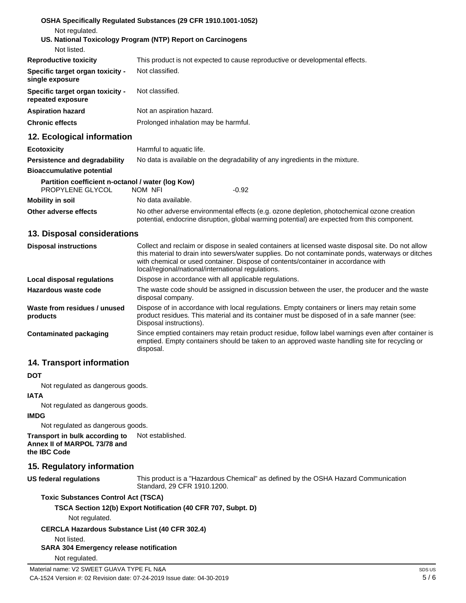| Not regulated.                                                        | OSHA Specifically Regulated Substances (29 CFR 1910.1001-1052)                                                                                                                             |
|-----------------------------------------------------------------------|--------------------------------------------------------------------------------------------------------------------------------------------------------------------------------------------|
| Not listed.                                                           | US. National Toxicology Program (NTP) Report on Carcinogens                                                                                                                                |
| <b>Reproductive toxicity</b>                                          | This product is not expected to cause reproductive or developmental effects.                                                                                                               |
| Specific target organ toxicity -<br>single exposure                   | Not classified.                                                                                                                                                                            |
| Specific target organ toxicity -<br>repeated exposure                 | Not classified.                                                                                                                                                                            |
| <b>Aspiration hazard</b>                                              | Not an aspiration hazard.                                                                                                                                                                  |
| <b>Chronic effects</b>                                                | Prolonged inhalation may be harmful.                                                                                                                                                       |
| 12. Ecological information                                            |                                                                                                                                                                                            |
| <b>Ecotoxicity</b>                                                    | Harmful to aquatic life.                                                                                                                                                                   |
| <b>Persistence and degradability</b>                                  | No data is available on the degradability of any ingredients in the mixture.                                                                                                               |
| <b>Bioaccumulative potential</b>                                      |                                                                                                                                                                                            |
| Partition coefficient n-octanol / water (log Kow)<br>PROPYLENE GLYCOL | NOM NFI<br>$-0.92$                                                                                                                                                                         |
| <b>Mobility in soil</b>                                               | No data available.                                                                                                                                                                         |
| Other adverse effects                                                 | No other adverse environmental effects (e.g. ozone depletion, photochemical ozone creation<br>potential, endocrine disruption, global warming potential) are expected from this component. |
| 13. Disposal considerations                                           |                                                                                                                                                                                            |
| <b>Disposal instructions</b>                                          | Collect and reclaim or dispose in sealed containers at licensed waste disposal site. Do not allow                                                                                          |

local/regional/national/international regulations. Dispose in accordance with all applicable regulations.

disposal company.

disposal.

Disposal instructions).

# **14. Transport information**

**Local disposal regulations Hazardous waste code**

**Contaminated packaging**

**Waste from residues / unused** 

#### **DOT**

**products**

Not regulated as dangerous goods.

#### **IATA**

Not regulated as dangerous goods.

#### **IMDG**

Not regulated as dangerous goods.

**Transport in bulk according to Annex II of MARPOL 73/78 and**  Not established.

**the IBC Code**

#### **15. Regulatory information**

**US federal regulations**

This product is a "Hazardous Chemical" as defined by the OSHA Hazard Communication Standard, 29 CFR 1910.1200.

this material to drain into sewers/water supplies. Do not contaminate ponds, waterways or ditches

The waste code should be assigned in discussion between the user, the producer and the waste

Since emptied containers may retain product residue, follow label warnings even after container is emptied. Empty containers should be taken to an approved waste handling site for recycling or

Dispose of in accordance with local regulations. Empty containers or liners may retain some product residues. This material and its container must be disposed of in a safe manner (see:

with chemical or used container. Dispose of contents/container in accordance with

#### **Toxic Substances Control Act (TSCA)**

#### **TSCA Section 12(b) Export Notification (40 CFR 707, Subpt. D)**

Not regulated.

#### **CERCLA Hazardous Substance List (40 CFR 302.4)**

Not listed.

### **SARA 304 Emergency release notification**

Not regulated.